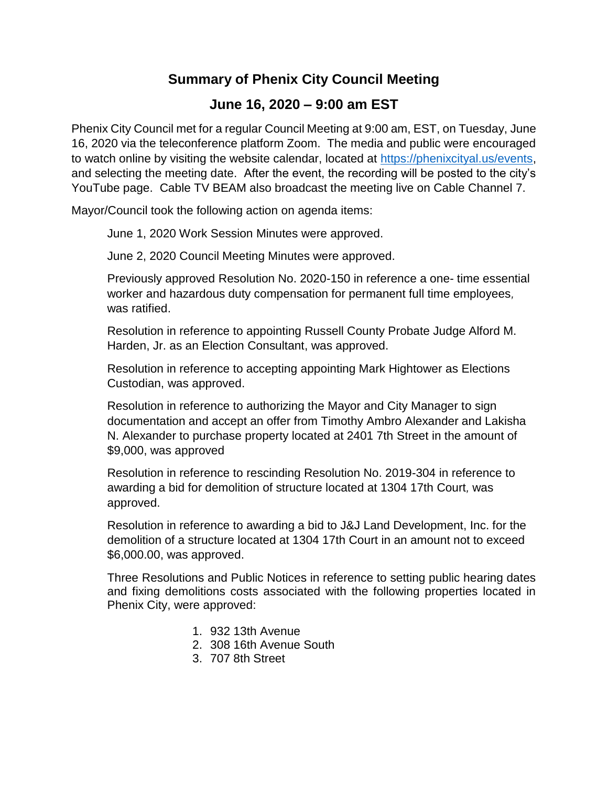## **Summary of Phenix City Council Meeting**

## **June 16, 2020 – 9:00 am EST**

Phenix City Council met for a regular Council Meeting at 9:00 am, EST, on Tuesday, June 16, 2020 via the teleconference platform Zoom. The media and public were encouraged to watch online by visiting the website calendar, located at [https://phenixcityal.us/events,](https://phenixcityal.us/events) and selecting the meeting date. After the event, the recording will be posted to the city's YouTube page. Cable TV BEAM also broadcast the meeting live on Cable Channel 7.

Mayor/Council took the following action on agenda items:

June 1, 2020 Work Session Minutes were approved.

June 2, 2020 Council Meeting Minutes were approved.

Previously approved Resolution No. 2020-150 in reference a one- time essential worker and hazardous duty compensation for permanent full time employees*,*  was ratified.

Resolution in reference to appointing Russell County Probate Judge Alford M. Harden, Jr. as an Election Consultant, was approved.

Resolution in reference to accepting appointing Mark Hightower as Elections Custodian, was approved.

Resolution in reference to authorizing the Mayor and City Manager to sign documentation and accept an offer from Timothy Ambro Alexander and Lakisha N. Alexander to purchase property located at 2401 7th Street in the amount of \$9,000, was approved

Resolution in reference to rescinding Resolution No. 2019-304 in reference to awarding a bid for demolition of structure located at 1304 17th Court*,* was approved.

Resolution in reference to awarding a bid to J&J Land Development, Inc. for the demolition of a structure located at 1304 17th Court in an amount not to exceed \$6,000.00, was approved.

Three Resolutions and Public Notices in reference to setting public hearing dates and fixing demolitions costs associated with the following properties located in Phenix City, were approved:

- 1. 932 13th Avenue
- 2. 308 16th Avenue South
- 3. 707 8th Street